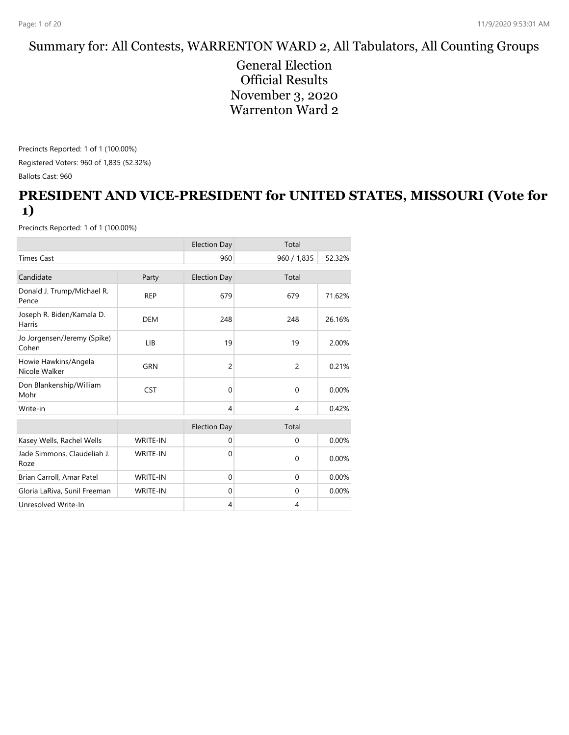#### Summary for: All Contests, WARRENTON WARD 2, All Tabulators, All Counting Groups

General Election Official Results November 3, 2020 Warrenton Ward 2

Precincts Reported: 1 of 1 (100.00%) Registered Voters: 960 of 1,835 (52.32%) Ballots Cast: 960

#### **PRESIDENT AND VICE-PRESIDENT for UNITED STATES, MISSOURI (Vote for 1)**

|                                       |                 | <b>Election Day</b> | Total          |        |
|---------------------------------------|-----------------|---------------------|----------------|--------|
| <b>Times Cast</b>                     |                 | 960                 | 960 / 1,835    | 52.32% |
| Candidate                             | Party           | <b>Election Day</b> | Total          |        |
| Donald J. Trump/Michael R.<br>Pence   | <b>REP</b>      | 679                 | 679            | 71.62% |
| Joseph R. Biden/Kamala D.<br>Harris   | <b>DEM</b>      | 248                 | 248            | 26.16% |
| Jo Jorgensen/Jeremy (Spike)<br>Cohen  | LIB             | 19                  | 19             | 2.00%  |
| Howie Hawkins/Angela<br>Nicole Walker | <b>GRN</b>      | $\overline{c}$      | 2              | 0.21%  |
| Don Blankenship/William<br>Mohr       | <b>CST</b>      | $\mathbf{0}$        | $\mathbf 0$    | 0.00%  |
| Write-in                              |                 | $\overline{4}$      | $\overline{4}$ | 0.42%  |
|                                       |                 | <b>Election Day</b> | Total          |        |
| Kasey Wells, Rachel Wells             | WRITE-IN        | $\mathbf 0$         | $\mathbf 0$    | 0.00%  |
| Jade Simmons, Claudeliah J.<br>Roze   | <b>WRITE-IN</b> | $\Omega$            | $\mathbf{0}$   | 0.00%  |
| Brian Carroll, Amar Patel             | WRITE-IN        | $\mathbf{0}$        | $\mathbf{0}$   | 0.00%  |
| Gloria LaRiva, Sunil Freeman          | <b>WRITE-IN</b> | $\mathbf 0$         | $\mathbf 0$    | 0.00%  |
| Unresolved Write-In                   |                 | 4                   | 4              |        |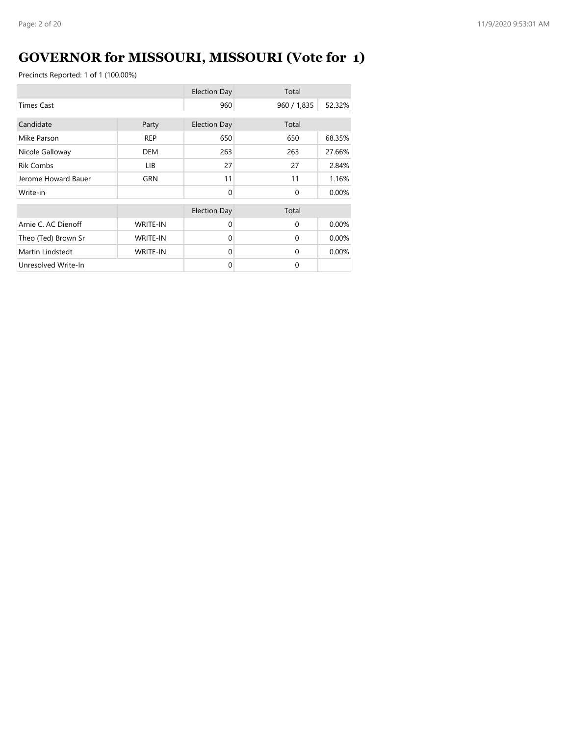# **GOVERNOR for MISSOURI, MISSOURI (Vote for 1)**

|                     |                 | <b>Election Day</b> | Total       |        |
|---------------------|-----------------|---------------------|-------------|--------|
| <b>Times Cast</b>   |                 | 960                 | 960 / 1,835 | 52.32% |
| Candidate           | Party           | <b>Election Day</b> | Total       |        |
| Mike Parson         | <b>REP</b>      | 650                 | 650         | 68.35% |
| Nicole Galloway     | <b>DEM</b>      | 263                 | 263         | 27.66% |
| <b>Rik Combs</b>    | LIB.            | 27                  | 27          | 2.84%  |
| Jerome Howard Bauer | GRN             | 11                  | 11          | 1.16%  |
| Write-in            |                 | $\Omega$            | $\Omega$    | 0.00%  |
|                     |                 | <b>Election Day</b> | Total       |        |
| Arnie C. AC Dienoff | <b>WRITE-IN</b> | $\Omega$            | $\Omega$    | 0.00%  |
| Theo (Ted) Brown Sr | <b>WRITE-IN</b> | $\Omega$            | $\Omega$    | 0.00%  |
| Martin Lindstedt    | <b>WRITE-IN</b> | $\Omega$            | $\Omega$    | 0.00%  |
| Unresolved Write-In |                 | $\Omega$            | $\Omega$    |        |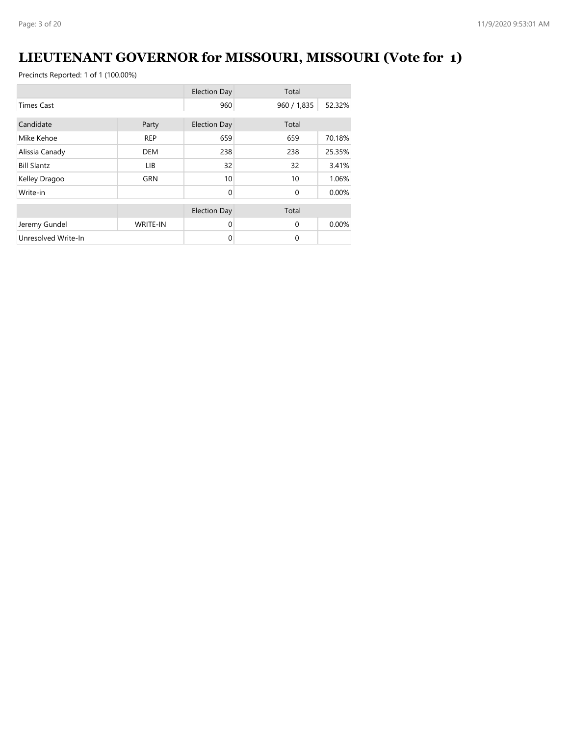# **LIEUTENANT GOVERNOR for MISSOURI, MISSOURI (Vote for 1)**

|                     |                 | <b>Election Day</b> | Total       |        |
|---------------------|-----------------|---------------------|-------------|--------|
| <b>Times Cast</b>   |                 | 960                 | 960 / 1,835 | 52.32% |
| Candidate           |                 | <b>Election Day</b> | Total       |        |
|                     | Party           |                     |             |        |
| Mike Kehoe          | <b>REP</b>      | 659                 | 659         | 70.18% |
| Alissia Canady      | <b>DEM</b>      | 238                 | 238         | 25.35% |
| <b>Bill Slantz</b>  | LIB             | 32                  | 32          | 3.41%  |
| Kelley Dragoo       | <b>GRN</b>      | 10                  | 10          | 1.06%  |
| Write-in            |                 | $\Omega$            | $\Omega$    | 0.00%  |
|                     |                 | <b>Election Day</b> | Total       |        |
| Jeremy Gundel       | <b>WRITE-IN</b> | $\Omega$            | $\Omega$    | 0.00%  |
| Unresolved Write-In |                 | $\mathbf 0$         | 0           |        |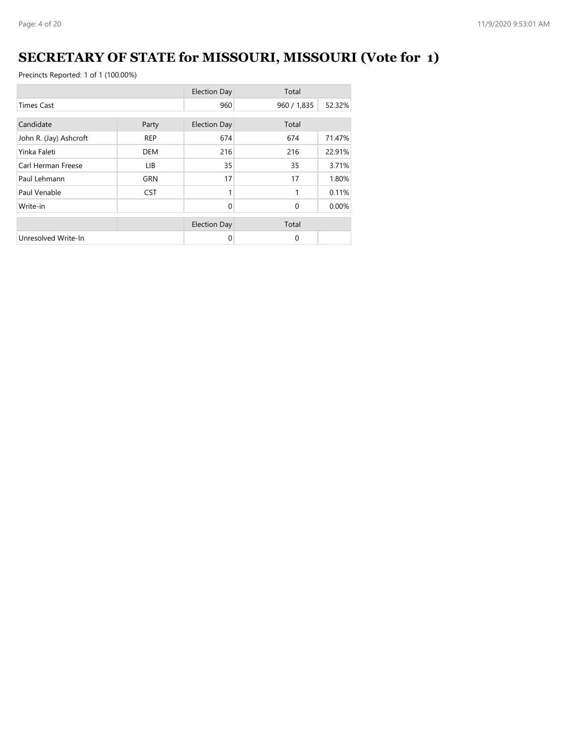# **SECRETARY OF STATE for MISSOURI, MISSOURI (Vote for 1)**

|                        |            | <b>Election Day</b> | Total       |          |
|------------------------|------------|---------------------|-------------|----------|
| <b>Times Cast</b>      |            | 960                 | 960 / 1,835 | 52.32%   |
| Candidate              | Party      | <b>Election Day</b> | Total       |          |
| John R. (Jay) Ashcroft | <b>REP</b> | 674                 | 674         | 71.47%   |
| Yinka Faleti           | <b>DEM</b> | 216                 | 216         | 22.91%   |
| Carl Herman Freese     | LIB.       | 35                  | 35          | 3.71%    |
| Paul Lehmann           | GRN        | 17                  | 17          | 1.80%    |
| Paul Venable           | <b>CST</b> | 1                   | 1           | 0.11%    |
| Write-in               |            | $\Omega$            | $\Omega$    | $0.00\%$ |
|                        |            | <b>Election Day</b> | Total       |          |
| Unresolved Write-In    |            | 0                   | 0           |          |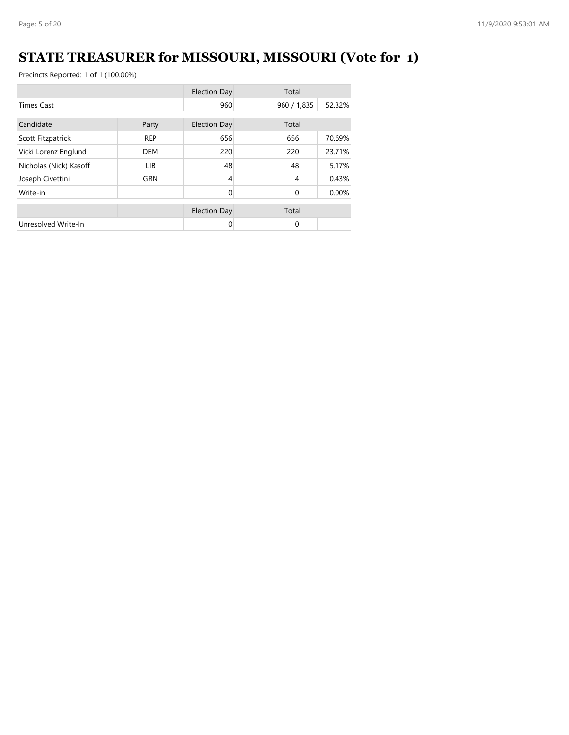# **STATE TREASURER for MISSOURI, MISSOURI (Vote for 1)**

|                        |            | <b>Election Day</b> | Total          |        |
|------------------------|------------|---------------------|----------------|--------|
| <b>Times Cast</b>      |            | 960                 | 960 / 1,835    | 52.32% |
| Candidate<br>Party     |            | <b>Election Day</b> | Total          |        |
| Scott Fitzpatrick      | <b>REP</b> | 656                 | 656            | 70.69% |
| Vicki Lorenz Englund   | <b>DEM</b> | 220                 | 220            | 23.71% |
| Nicholas (Nick) Kasoff | LIB.       | 48                  | 48             | 5.17%  |
| Joseph Civettini       | <b>GRN</b> | $\overline{4}$      | $\overline{4}$ | 0.43%  |
| Write-in               |            | $\Omega$            | $\Omega$       | 0.00%  |
|                        |            | <b>Election Day</b> | Total          |        |
| Unresolved Write-In    |            | $\Omega$            | $\mathbf{0}$   |        |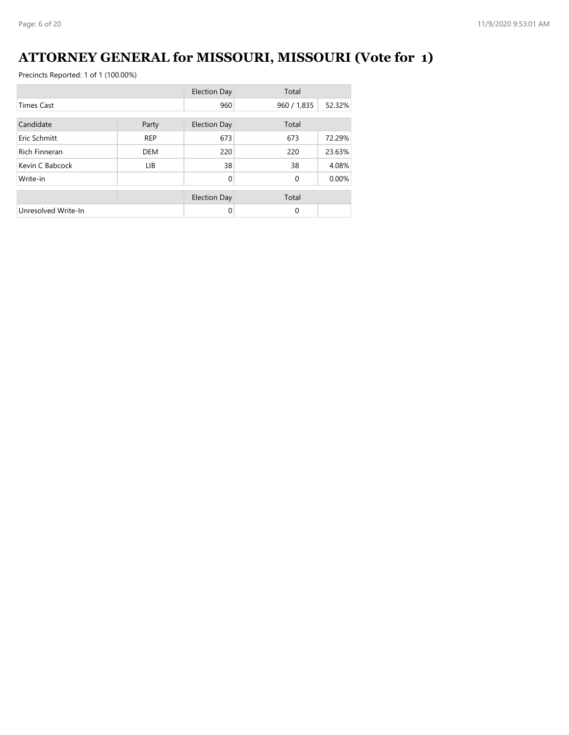### **ATTORNEY GENERAL for MISSOURI, MISSOURI (Vote for 1)**

|                      |            | <b>Election Day</b> | Total        |        |
|----------------------|------------|---------------------|--------------|--------|
| <b>Times Cast</b>    |            | 960                 | 960 / 1,835  | 52.32% |
| Candidate            | Party      | <b>Election Day</b> | Total        |        |
| Eric Schmitt         | <b>REP</b> | 673                 | 673          | 72.29% |
| <b>Rich Finneran</b> | <b>DEM</b> | 220                 | 220          | 23.63% |
| Kevin C Babcock      | LIB.       | 38                  | 38           | 4.08%  |
| Write-in             |            | $\Omega$            | $\mathbf{0}$ | 0.00%  |
|                      |            | <b>Election Day</b> | Total        |        |
| Unresolved Write-In  |            | 0                   | 0            |        |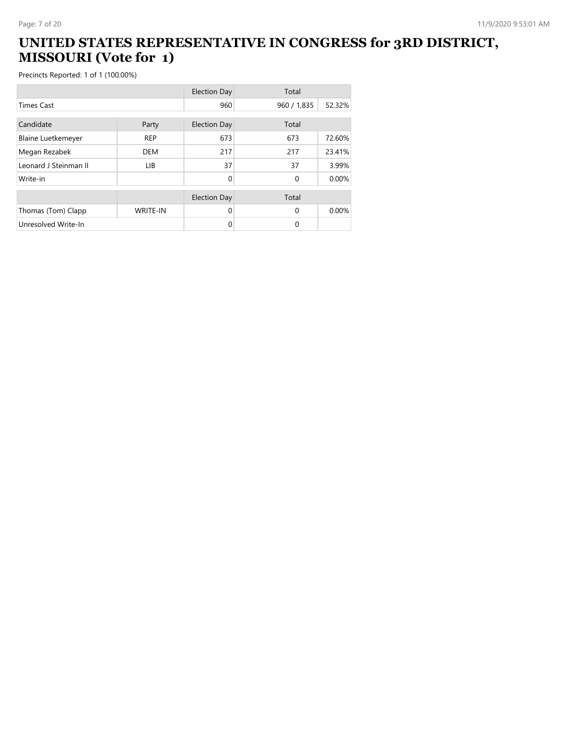#### **UNITED STATES REPRESENTATIVE IN CONGRESS for 3RD DISTRICT, MISSOURI (Vote for 1)**

|                           |                 | <b>Election Day</b> | Total       |        |
|---------------------------|-----------------|---------------------|-------------|--------|
| <b>Times Cast</b>         |                 | 960                 | 960 / 1,835 | 52.32% |
| Candidate                 | Party           | <b>Election Day</b> | Total       |        |
| <b>Blaine Luetkemeyer</b> | <b>REP</b>      | 673                 | 673         | 72.60% |
| Megan Rezabek             | <b>DEM</b>      | 217                 | 217         | 23.41% |
| Leonard J Steinman II     | <b>LIB</b>      | 37                  | 37          | 3.99%  |
| Write-in                  |                 | 0                   | $\Omega$    | 0.00%  |
|                           |                 | <b>Election Day</b> | Total       |        |
| Thomas (Tom) Clapp        | <b>WRITE-IN</b> | 0                   | $\Omega$    | 0.00%  |
| Unresolved Write-In       |                 | 0                   | 0           |        |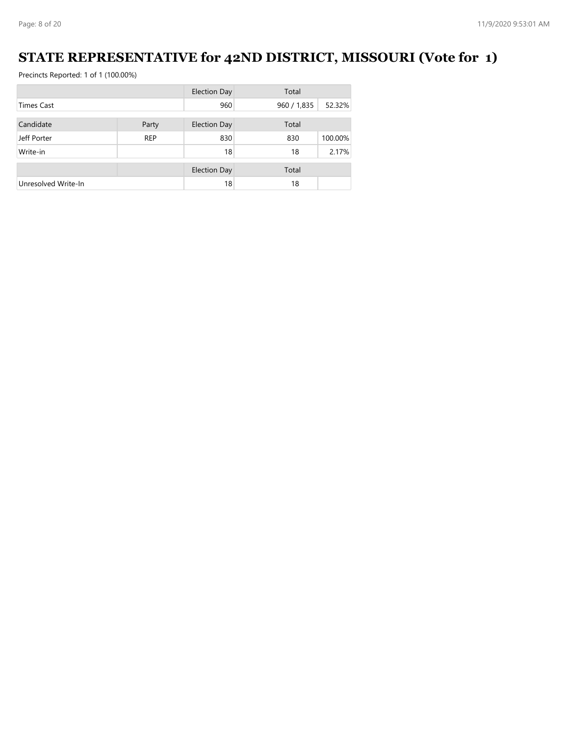### **STATE REPRESENTATIVE for 42ND DISTRICT, MISSOURI (Vote for 1)**

|                     |            | <b>Election Day</b> | Total       |         |
|---------------------|------------|---------------------|-------------|---------|
| <b>Times Cast</b>   |            | 960                 | 960 / 1,835 | 52.32%  |
|                     |            |                     |             |         |
| Candidate           | Party      | Election Day        | Total       |         |
| Jeff Porter         | <b>REP</b> | 830                 | 830         | 100.00% |
| Write-in            |            | 18                  | 18          | 2.17%   |
|                     |            |                     |             |         |
|                     |            | <b>Election Day</b> | Total       |         |
| Unresolved Write-In |            | 18                  | 18          |         |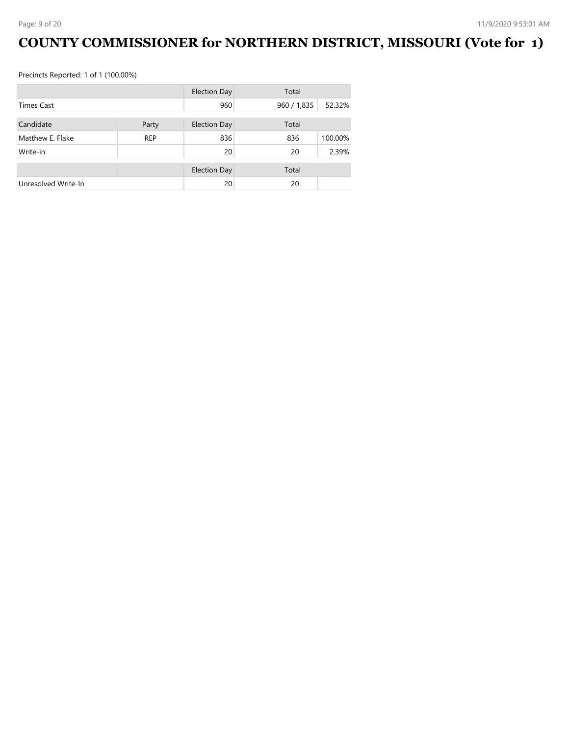# **COUNTY COMMISSIONER for NORTHERN DISTRICT, MISSOURI (Vote for 1)**

|                     |            | <b>Election Day</b> | Total       |         |
|---------------------|------------|---------------------|-------------|---------|
| <b>Times Cast</b>   |            | 960                 | 960 / 1,835 | 52.32%  |
| Candidate           |            |                     | Total       |         |
|                     | Party      | <b>Election Day</b> |             |         |
| Matthew E. Flake    | <b>REP</b> | 836                 | 836         | 100.00% |
| Write-in            |            | 20                  | 20          | 2.39%   |
|                     |            |                     |             |         |
|                     |            | <b>Election Day</b> | Total       |         |
| Unresolved Write-In |            | 20                  | 20          |         |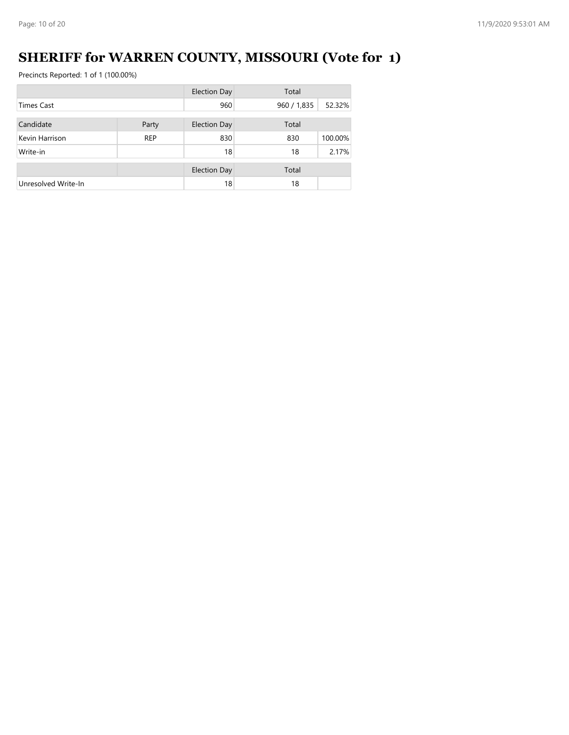# **SHERIFF for WARREN COUNTY, MISSOURI (Vote for 1)**

|                     |            | <b>Election Day</b> | Total       |         |
|---------------------|------------|---------------------|-------------|---------|
| <b>Times Cast</b>   |            | 960                 | 960 / 1,835 | 52.32%  |
| Candidate           |            |                     | Total       |         |
|                     | Party      | <b>Election Day</b> |             |         |
| Kevin Harrison      | <b>REP</b> | 830                 | 830         | 100.00% |
| Write-in            |            | 18                  | 18          | 2.17%   |
|                     |            |                     |             |         |
|                     |            | <b>Election Day</b> | Total       |         |
| Unresolved Write-In |            | 18                  | 18          |         |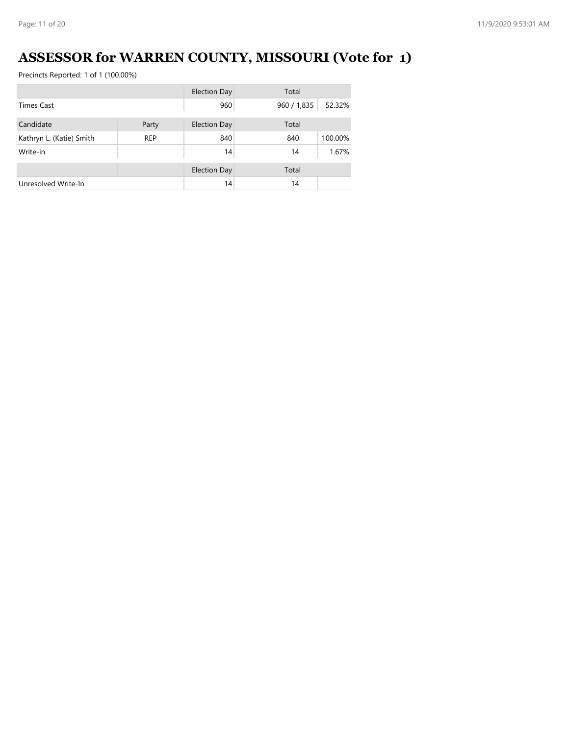# **ASSESSOR for WARREN COUNTY, MISSOURI (Vote for 1)**

|                          |            | <b>Election Day</b> | Total       |         |
|--------------------------|------------|---------------------|-------------|---------|
| <b>Times Cast</b>        |            | 960                 | 960 / 1,835 | 52.32%  |
|                          |            |                     |             |         |
| Candidate                | Party      | <b>Election Day</b> | Total       |         |
| Kathryn L. (Katie) Smith | <b>REP</b> | 840                 | 840         | 100.00% |
| Write-in                 |            | 14                  | 14          | 1.67%   |
|                          |            |                     |             |         |
|                          |            | <b>Election Day</b> | Total       |         |
| Unresolved Write-In      |            | 14                  | 14          |         |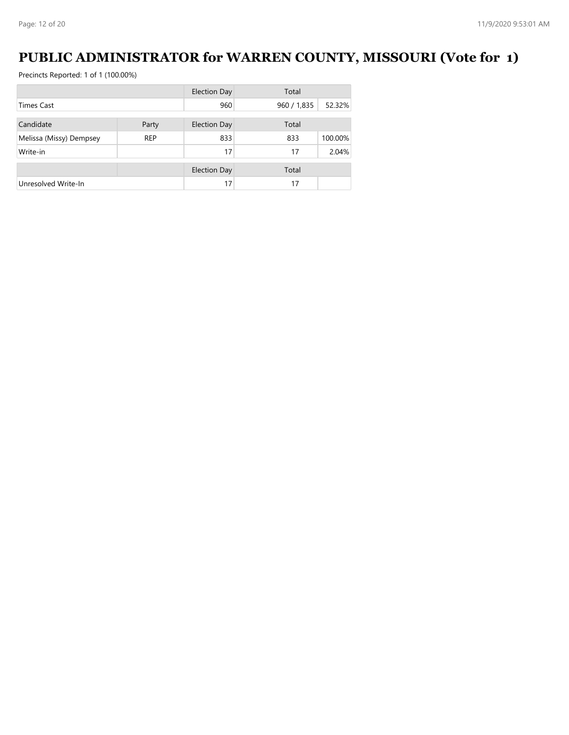### **PUBLIC ADMINISTRATOR for WARREN COUNTY, MISSOURI (Vote for 1)**

|                         |            | Election Day        | Total       |         |
|-------------------------|------------|---------------------|-------------|---------|
| <b>Times Cast</b>       |            | 960                 | 960 / 1,835 | 52.32%  |
|                         |            |                     |             |         |
| Candidate               | Party      | Election Day        | Total       |         |
| Melissa (Missy) Dempsey | <b>REP</b> | 833                 | 833         | 100.00% |
| Write-in                |            | 17                  | 17          | 2.04%   |
|                         |            | <b>Election Day</b> | Total       |         |
| Unresolved Write-In     |            | 17                  | 17          |         |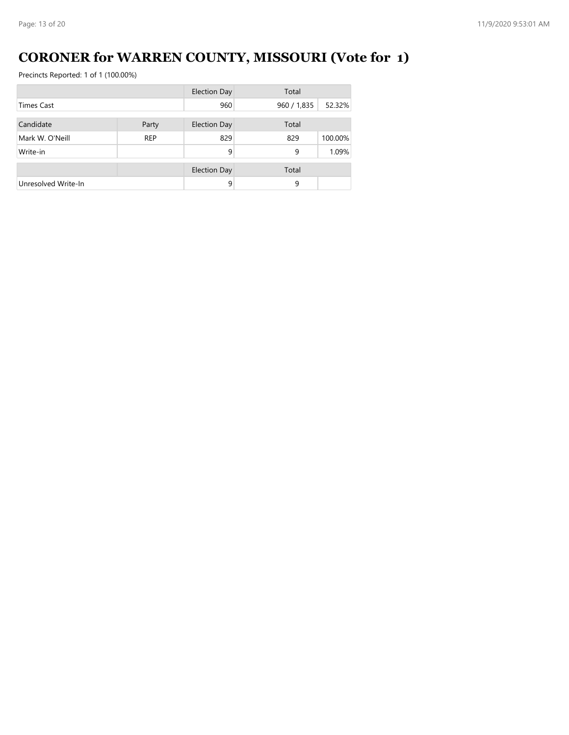# **CORONER for WARREN COUNTY, MISSOURI (Vote for 1)**

|                     |            | <b>Election Day</b> | Total       |         |
|---------------------|------------|---------------------|-------------|---------|
| <b>Times Cast</b>   |            | 960                 | 960 / 1,835 | 52.32%  |
|                     |            |                     |             |         |
| Candidate           | Party      | <b>Election Day</b> | Total       |         |
| Mark W. O'Neill     | <b>REP</b> | 829                 | 829         | 100.00% |
| Write-in            |            | 9                   | 9           | 1.09%   |
|                     |            | <b>Election Day</b> | Total       |         |
|                     |            |                     |             |         |
| Unresolved Write-In |            | 9                   | 9           |         |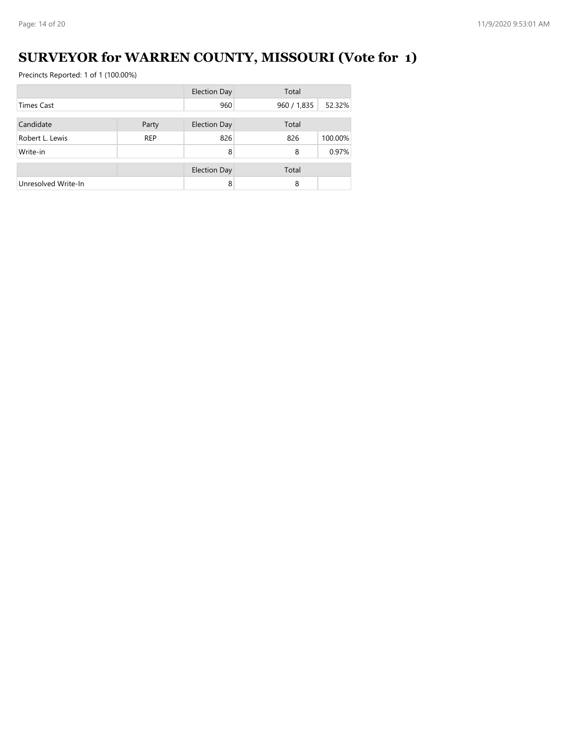# **SURVEYOR for WARREN COUNTY, MISSOURI (Vote for 1)**

|                     |            | <b>Election Day</b> | Total       |         |
|---------------------|------------|---------------------|-------------|---------|
| <b>Times Cast</b>   |            | 960                 | 960 / 1,835 | 52.32%  |
| Candidate           |            |                     |             |         |
|                     | Party      | <b>Election Day</b> | Total       |         |
| Robert L. Lewis     | <b>REP</b> | 826                 | 826         | 100.00% |
| Write-in            |            | 8                   | 8           | 0.97%   |
|                     |            | <b>Election Day</b> | Total       |         |
|                     |            |                     |             |         |
| Unresolved Write-In |            | 8                   | 8           |         |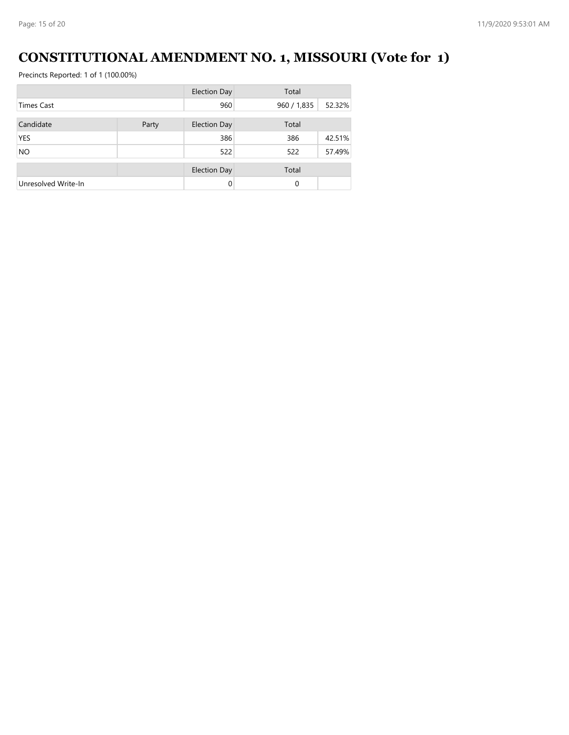### **CONSTITUTIONAL AMENDMENT NO. 1, MISSOURI (Vote for 1)**

|                     |       | <b>Election Day</b> | Total       |        |
|---------------------|-------|---------------------|-------------|--------|
| <b>Times Cast</b>   |       | 960                 | 960 / 1,835 | 52.32% |
| Candidate           | Party | <b>Election Day</b> | Total       |        |
| <b>YES</b>          |       | 386                 | 386         | 42.51% |
| <b>NO</b>           |       | 522                 | 522         | 57.49% |
|                     |       | <b>Election Day</b> | Total       |        |
| Unresolved Write-In |       | $\Omega$            | 0           |        |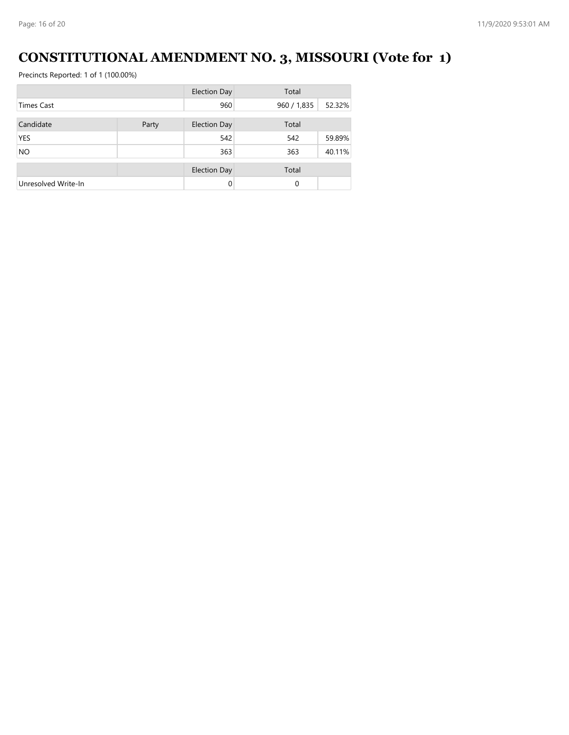# **CONSTITUTIONAL AMENDMENT NO. 3, MISSOURI (Vote for 1)**

|                     |       | <b>Election Day</b> | Total       |        |
|---------------------|-------|---------------------|-------------|--------|
| <b>Times Cast</b>   |       | 960                 | 960 / 1,835 | 52.32% |
| Candidate           | Party | <b>Election Day</b> | Total       |        |
| <b>YES</b>          |       | 542                 | 542         | 59.89% |
| <b>NO</b>           |       | 363                 | 363         | 40.11% |
|                     |       | <b>Election Day</b> | Total       |        |
| Unresolved Write-In |       | $\Omega$            | 0           |        |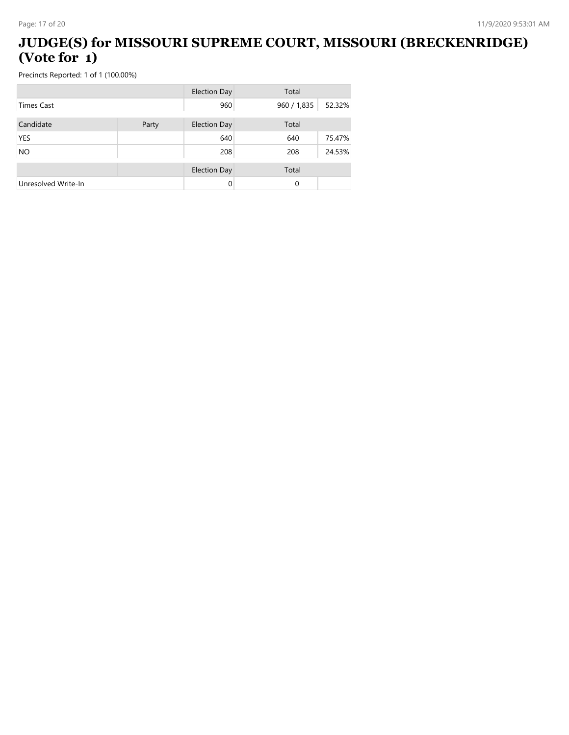#### **JUDGE(S) for MISSOURI SUPREME COURT, MISSOURI (BRECKENRIDGE) (Vote for 1)**

|                     |       | <b>Election Day</b> | Total       |        |
|---------------------|-------|---------------------|-------------|--------|
| <b>Times Cast</b>   |       | 960                 | 960 / 1,835 | 52.32% |
| Candidate           | Party | <b>Election Day</b> | Total       |        |
| <b>YES</b>          |       | 640                 | 640         | 75.47% |
| <b>NO</b>           |       | 208                 | 208         | 24.53% |
|                     |       | <b>Election Day</b> | Total       |        |
| Unresolved Write-In |       | 0                   | 0           |        |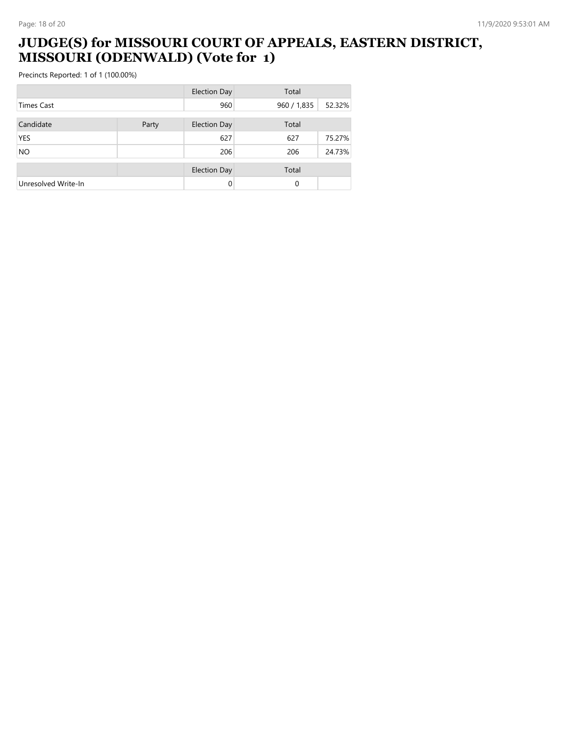#### **JUDGE(S) for MISSOURI COURT OF APPEALS, EASTERN DISTRICT, MISSOURI (ODENWALD) (Vote for 1)**

|                     |       | <b>Election Day</b> | Total       |        |
|---------------------|-------|---------------------|-------------|--------|
| <b>Times Cast</b>   |       | 960                 | 960 / 1,835 | 52.32% |
| Candidate           | Party | <b>Election Day</b> | Total       |        |
| <b>YES</b>          |       | 627                 | 627         | 75.27% |
| <b>NO</b>           |       | 206                 | 206         | 24.73% |
|                     |       | <b>Election Day</b> | Total       |        |
| Unresolved Write-In |       | 0                   | 0           |        |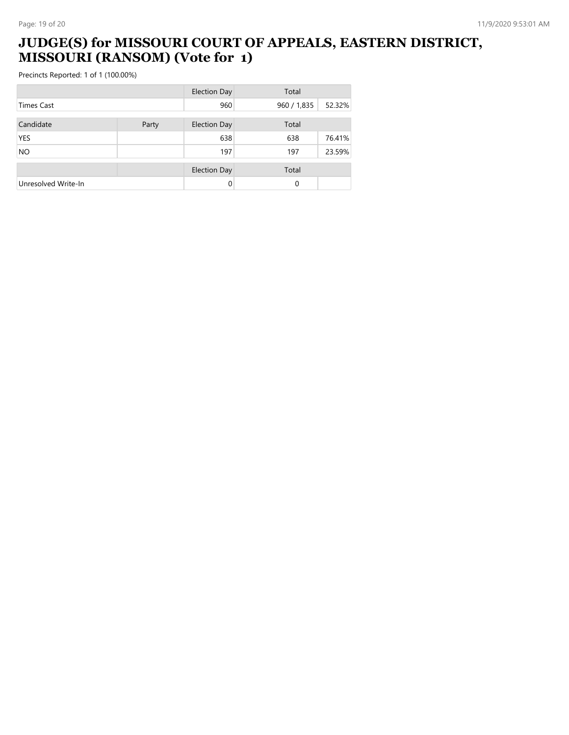#### **JUDGE(S) for MISSOURI COURT OF APPEALS, EASTERN DISTRICT, MISSOURI (RANSOM) (Vote for 1)**

|                     |       | <b>Election Day</b> | Total       |        |
|---------------------|-------|---------------------|-------------|--------|
| <b>Times Cast</b>   |       | 960                 | 960 / 1,835 | 52.32% |
| Candidate           | Party | <b>Election Day</b> | Total       |        |
| <b>YES</b>          |       | 638                 | 638         | 76.41% |
| <b>NO</b>           |       | 197                 | 197         | 23.59% |
|                     |       | <b>Election Day</b> | Total       |        |
| Unresolved Write-In |       | 0                   | 0           |        |